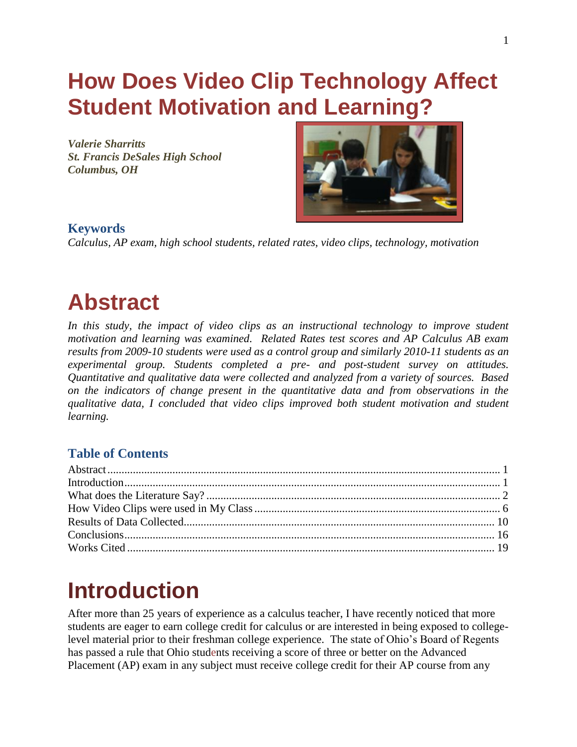# **How Does Video Clip Technology Affect Student Motivation and Learning?**

*Valerie Sharritts St. Francis DeSales High School Columbus, OH* 



## **Keywords**

*Calculus, AP exam, high school students, related rates, video clips, technology, motivation* 

## <span id="page-0-0"></span>**Abstract**

In this study, the impact of video clips as an instructional technology to improve student *motivation and learning was examined. Related Rates test scores and AP Calculus AB exam results from 2009-10 students were used as a control group and similarly 2010-11 students as an experimental group. Students completed a pre- and post-student survey on attitudes. Quantitative and qualitative data were collected and analyzed from a variety of sources. Based on the indicators of change present in the quantitative data and from observations in the qualitative data, I concluded that video clips improved both student motivation and student learning.* 

## **Table of Contents**

# <span id="page-0-1"></span>**Introduction**

After more than 25 years of experience as a calculus teacher, I have recently noticed that more students are eager to earn college credit for calculus or are interested in being exposed to collegelevel material prior to their freshman college experience. The state of Ohio"s Board of Regents has passed a rule that Ohio students receiving a score of three or better on the Advanced Placement (AP) exam in any subject must receive college credit for their AP course from any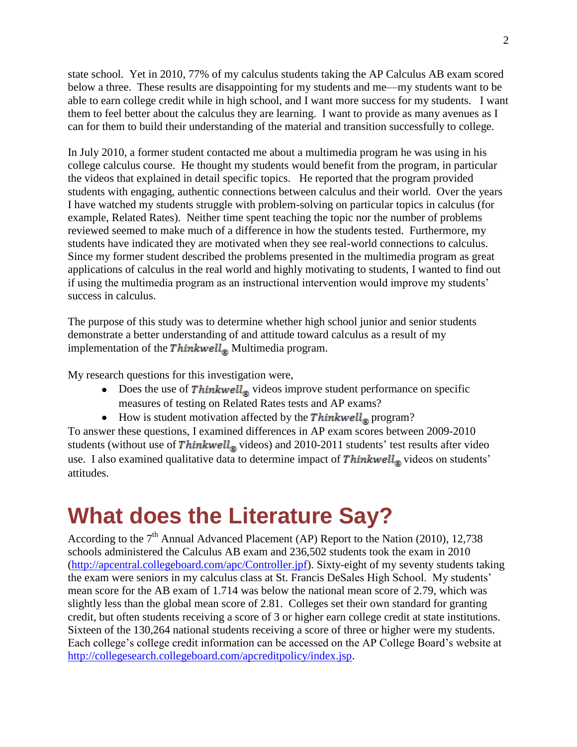state school. Yet in 2010, 77% of my calculus students taking the AP Calculus AB exam scored below a three. These results are disappointing for my students and me—my students want to be able to earn college credit while in high school, and I want more success for my students. I want them to feel better about the calculus they are learning. I want to provide as many avenues as I can for them to build their understanding of the material and transition successfully to college.

In July 2010, a former student contacted me about a multimedia program he was using in his college calculus course. He thought my students would benefit from the program, in particular the videos that explained in detail specific topics. He reported that the program provided students with engaging, authentic connections between calculus and their world. Over the years I have watched my students struggle with problem-solving on particular topics in calculus (for example, Related Rates). Neither time spent teaching the topic nor the number of problems reviewed seemed to make much of a difference in how the students tested. Furthermore, my students have indicated they are motivated when they see real-world connections to calculus. Since my former student described the problems presented in the multimedia program as great applications of calculus in the real world and highly motivating to students, I wanted to find out if using the multimedia program as an instructional intervention would improve my students" success in calculus.

The purpose of this study was to determine whether high school junior and senior students demonstrate a better understanding of and attitude toward calculus as a result of my implementation of the Thinkwell<sub>®</sub> Multimedia program.

My research questions for this investigation were,

- Does the use of  $Thinking \times \text{b}$  videos improve student performance on specific measures of testing on Related Rates tests and AP exams?
- How is student motivation affected by the Thinkwell<sub>®</sub> program?

To answer these questions, I examined differences in AP exam scores between 2009-2010 students (without use of Thinkwell<sub>®</sub> videos) and 2010-2011 students' test results after video use. I also examined qualitative data to determine impact of  $Thinking$  videos on students' attitudes.

# <span id="page-1-0"></span>**What does the Literature Say?**

According to the  $7<sup>th</sup>$  Annual Advanced Placement (AP) Report to the Nation (2010), 12,738 schools administered the Calculus AB exam and 236,502 students took the exam in 2010 [\(http://apcentral.collegeboard.com/apc/Controller.jpf\)](http://apcentral.collegeboard.com/apc/Controller.jpf). Sixty-eight of my seventy students taking the exam were seniors in my calculus class at St. Francis DeSales High School. My students" mean score for the AB exam of 1.714 was below the national mean score of 2.79, which was slightly less than the global mean score of 2.81. Colleges set their own standard for granting credit, but often students receiving a score of 3 or higher earn college credit at state institutions. Sixteen of the 130,264 national students receiving a score of three or higher were my students. Each college's college credit information can be accessed on the AP College Board's website at [http://collegesearch.collegeboard.com/apcreditpolicy/index.jsp.](http://collegesearch.collegeboard.com/apcreditpolicy/index.jsp)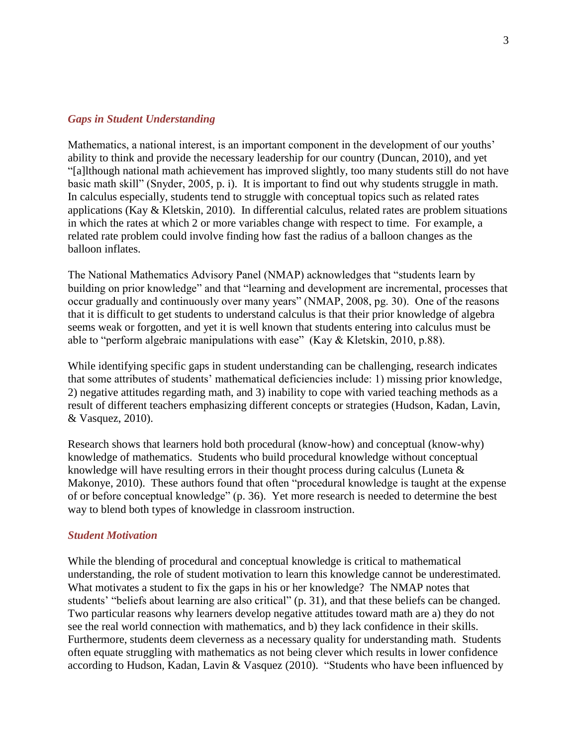#### *Gaps in Student Understanding*

Mathematics, a national interest, is an important component in the development of our youths' ability to think and provide the necessary leadership for our country (Duncan, 2010), and yet "[a]lthough national math achievement has improved slightly, too many students still do not have basic math skill" (Snyder, 2005, p. i). It is important to find out why students struggle in math. In calculus especially, students tend to struggle with conceptual topics such as related rates applications (Kay & Kletskin, 2010). In differential calculus, related rates are problem situations in which the rates at which 2 or more variables change with respect to time. For example, a related rate problem could involve finding how fast the radius of a balloon changes as the balloon inflates.

The National Mathematics Advisory Panel (NMAP) acknowledges that "students learn by building on prior knowledge" and that "learning and development are incremental, processes that occur gradually and continuously over many years" (NMAP, 2008, pg. 30). One of the reasons that it is difficult to get students to understand calculus is that their prior knowledge of algebra seems weak or forgotten, and yet it is well known that students entering into calculus must be able to "perform algebraic manipulations with ease" (Kay  $&$  Kletskin, 2010, p.88).

While identifying specific gaps in student understanding can be challenging, research indicates that some attributes of students" mathematical deficiencies include: 1) missing prior knowledge, 2) negative attitudes regarding math, and 3) inability to cope with varied teaching methods as a result of different teachers emphasizing different concepts or strategies (Hudson, Kadan, Lavin, & Vasquez, 2010).

Research shows that learners hold both procedural (know-how) and conceptual (know-why) knowledge of mathematics. Students who build procedural knowledge without conceptual knowledge will have resulting errors in their thought process during calculus (Luneta & Makonye, 2010). These authors found that often "procedural knowledge is taught at the expense of or before conceptual knowledge" (p. 36). Yet more research is needed to determine the best way to blend both types of knowledge in classroom instruction.

#### *Student Motivation*

While the blending of procedural and conceptual knowledge is critical to mathematical understanding, the role of student motivation to learn this knowledge cannot be underestimated. What motivates a student to fix the gaps in his or her knowledge? The NMAP notes that students' "beliefs about learning are also critical" (p. 31), and that these beliefs can be changed. Two particular reasons why learners develop negative attitudes toward math are a) they do not see the real world connection with mathematics, and b) they lack confidence in their skills. Furthermore, students deem cleverness as a necessary quality for understanding math. Students often equate struggling with mathematics as not being clever which results in lower confidence according to Hudson, Kadan, Lavin & Vasquez (2010). "Students who have been influenced by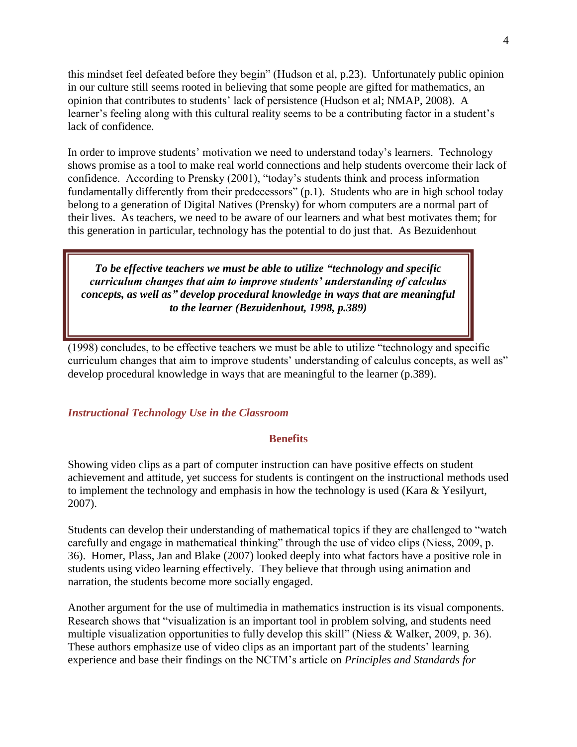this mindset feel defeated before they begin" (Hudson et al, p.23). Unfortunately public opinion in our culture still seems rooted in believing that some people are gifted for mathematics, an opinion that contributes to students" lack of persistence (Hudson et al; NMAP, 2008). A learner's feeling along with this cultural reality seems to be a contributing factor in a student's lack of confidence.

In order to improve students" motivation we need to understand today"s learners. Technology shows promise as a tool to make real world connections and help students overcome their lack of confidence. According to Prensky (2001), "today"s students think and process information fundamentally differently from their predecessors" (p.1). Students who are in high school today belong to a generation of Digital Natives (Prensky) for whom computers are a normal part of their lives. As teachers, we need to be aware of our learners and what best motivates them; for this generation in particular, technology has the potential to do just that. As Bezuidenhout

*To be effective teachers we must be able to utilize "technology and specific curriculum changes that aim to improve students' understanding of calculus concepts, as well as" develop procedural knowledge in ways that are meaningful to the learner (Bezuidenhout, 1998, p.389)*

(1998) concludes, to be effective teachers we must be able to utilize "technology and specific curriculum changes that aim to improve students' understanding of calculus concepts, as well as" develop procedural knowledge in ways that are meaningful to the learner (p.389).

#### *Instructional Technology Use in the Classroom*

#### **Benefits**

Showing video clips as a part of computer instruction can have positive effects on student achievement and attitude, yet success for students is contingent on the instructional methods used to implement the technology and emphasis in how the technology is used (Kara & Yesilyurt, 2007).

Students can develop their understanding of mathematical topics if they are challenged to "watch carefully and engage in mathematical thinking" through the use of video clips (Niess, 2009, p. 36). Homer, Plass, Jan and Blake (2007) looked deeply into what factors have a positive role in students using video learning effectively. They believe that through using animation and narration, the students become more socially engaged.

Another argument for the use of multimedia in mathematics instruction is its visual components. Research shows that "visualization is an important tool in problem solving, and students need multiple visualization opportunities to fully develop this skill" (Niess & Walker, 2009, p. 36). These authors emphasize use of video clips as an important part of the students' learning experience and base their findings on the NCTM"s article on *Principles and Standards for*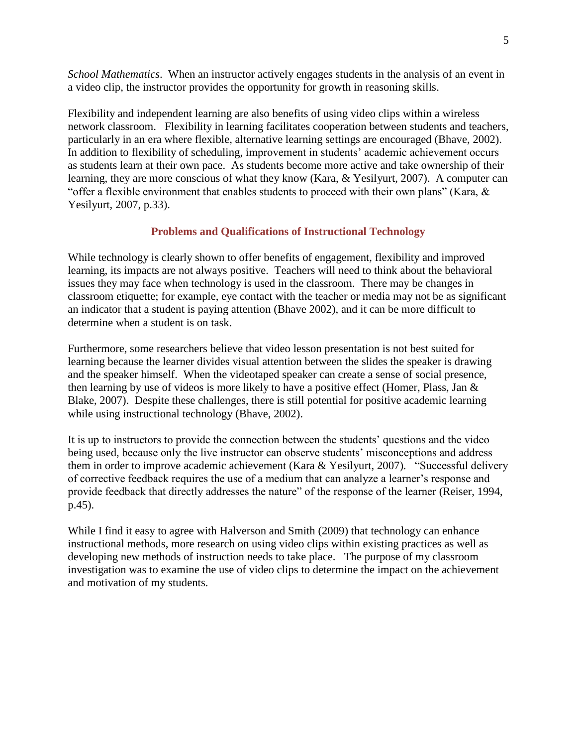*School Mathematics*. When an instructor actively engages students in the analysis of an event in a video clip, the instructor provides the opportunity for growth in reasoning skills.

Flexibility and independent learning are also benefits of using video clips within a wireless network classroom. Flexibility in learning facilitates cooperation between students and teachers, particularly in an era where flexible, alternative learning settings are encouraged (Bhave, 2002). In addition to flexibility of scheduling, improvement in students' academic achievement occurs as students learn at their own pace. As students become more active and take ownership of their learning, they are more conscious of what they know (Kara, & Yesilyurt, 2007). A computer can "offer a flexible environment that enables students to proceed with their own plans" (Kara, & Yesilyurt, 2007, p.33).

### **Problems and Qualifications of Instructional Technology**

While technology is clearly shown to offer benefits of engagement, flexibility and improved learning, its impacts are not always positive. Teachers will need to think about the behavioral issues they may face when technology is used in the classroom. There may be changes in classroom etiquette; for example, eye contact with the teacher or media may not be as significant an indicator that a student is paying attention (Bhave 2002), and it can be more difficult to determine when a student is on task.

Furthermore, some researchers believe that video lesson presentation is not best suited for learning because the learner divides visual attention between the slides the speaker is drawing and the speaker himself. When the videotaped speaker can create a sense of social presence, then learning by use of videos is more likely to have a positive effect (Homer, Plass, Jan & Blake, 2007). Despite these challenges, there is still potential for positive academic learning while using instructional technology (Bhave, 2002).

It is up to instructors to provide the connection between the students" questions and the video being used, because only the live instructor can observe students' misconceptions and address them in order to improve academic achievement (Kara & Yesilyurt, 2007). "Successful delivery of corrective feedback requires the use of a medium that can analyze a learner"s response and provide feedback that directly addresses the nature" of the response of the learner (Reiser, 1994, p.45).

<span id="page-4-0"></span>While I find it easy to agree with Halverson and Smith (2009) that technology can enhance instructional methods, more research on using video clips within existing practices as well as developing new methods of instruction needs to take place. The purpose of my classroom investigation was to examine the use of video clips to determine the impact on the achievement and motivation of my students.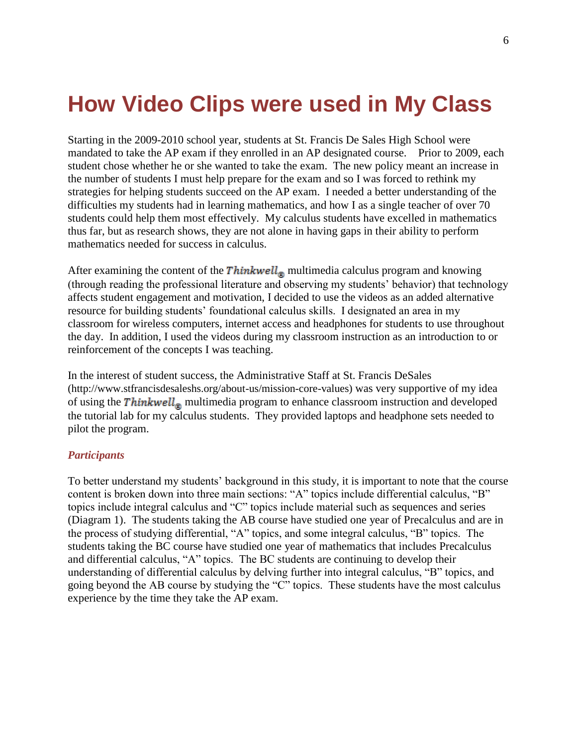## **How Video Clips were used in My Class**

Starting in the 2009-2010 school year, students at St. Francis De Sales High School were mandated to take the AP exam if they enrolled in an AP designated course. Prior to 2009, each student chose whether he or she wanted to take the exam. The new policy meant an increase in the number of students I must help prepare for the exam and so I was forced to rethink my strategies for helping students succeed on the AP exam. I needed a better understanding of the difficulties my students had in learning mathematics, and how I as a single teacher of over 70 students could help them most effectively. My calculus students have excelled in mathematics thus far, but as research shows, they are not alone in having gaps in their ability to perform mathematics needed for success in calculus.

After examining the content of the Thinkwell<sub>®</sub> multimedia calculus program and knowing (through reading the professional literature and observing my students" behavior) that technology affects student engagement and motivation, I decided to use the videos as an added alternative resource for building students" foundational calculus skills. I designated an area in my classroom for wireless computers, internet access and headphones for students to use throughout the day. In addition, I used the videos during my classroom instruction as an introduction to or reinforcement of the concepts I was teaching.

In the interest of student success, the Administrative Staff at St. Francis DeSales (http://www.stfrancisdesaleshs.org/about-us/mission-core-values) was very supportive of my idea of using the  $\textit{Thinkwell}_{\circledast}$  multimedia program to enhance classroom instruction and developed the tutorial lab for my calculus students. They provided laptops and headphone sets needed to pilot the program.

#### *Participants*

To better understand my students" background in this study, it is important to note that the course content is broken down into three main sections: "A" topics include differential calculus, "B" topics include integral calculus and "C" topics include material such as sequences and series (Diagram 1). The students taking the AB course have studied one year of Precalculus and are in the process of studying differential, "A" topics, and some integral calculus, "B" topics. The students taking the BC course have studied one year of mathematics that includes Precalculus and differential calculus, "A" topics. The BC students are continuing to develop their understanding of differential calculus by delving further into integral calculus, "B" topics, and going beyond the AB course by studying the "C" topics. These students have the most calculus experience by the time they take the AP exam.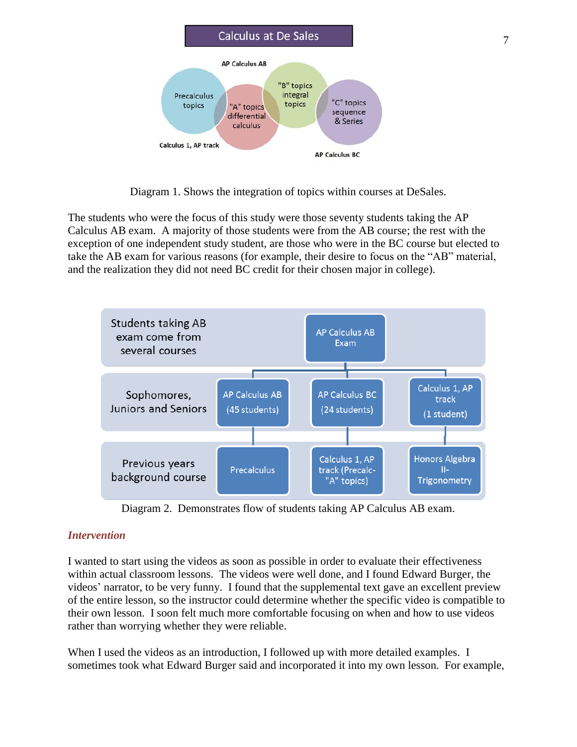

Diagram 1. Shows the integration of topics within courses at DeSales.

The students who were the focus of this study were those seventy students taking the AP Calculus AB exam. A majority of those students were from the AB course; the rest with the exception of one independent study student, are those who were in the BC course but elected to take the AB exam for various reasons (for example, their desire to focus on the "AB" material, and the realization they did not need BC credit for their chosen major in college).



Diagram 2. Demonstrates flow of students taking AP Calculus AB exam.

### *Intervention*

I wanted to start using the videos as soon as possible in order to evaluate their effectiveness within actual classroom lessons. The videos were well done, and I found Edward Burger, the videos" narrator, to be very funny. I found that the supplemental text gave an excellent preview of the entire lesson, so the instructor could determine whether the specific video is compatible to their own lesson. I soon felt much more comfortable focusing on when and how to use videos rather than worrying whether they were reliable.

When I used the videos as an introduction, I followed up with more detailed examples. I sometimes took what Edward Burger said and incorporated it into my own lesson. For example,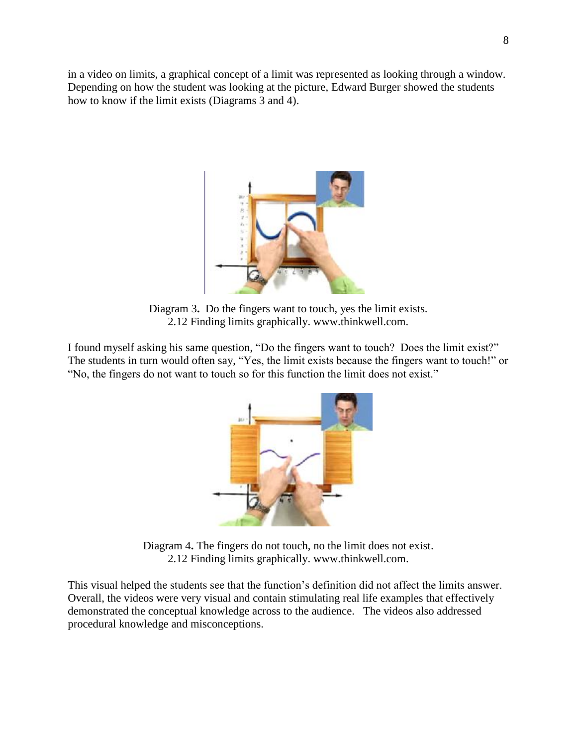in a video on limits, a graphical concept of a limit was represented as looking through a window. Depending on how the student was looking at the picture, Edward Burger showed the students how to know if the limit exists (Diagrams 3 and 4).



Diagram 3**.** Do the fingers want to touch, yes the limit exists. 2.12 Finding limits graphically. www.thinkwell.com.

I found myself asking his same question, "Do the fingers want to touch? Does the limit exist?" The students in turn would often say, "Yes, the limit exists because the fingers want to touch!" or "No, the fingers do not want to touch so for this function the limit does not exist."



Diagram 4**.** The fingers do not touch, no the limit does not exist. 2.12 Finding limits graphically. www.thinkwell.com.

This visual helped the students see that the function"s definition did not affect the limits answer. Overall, the videos were very visual and contain stimulating real life examples that effectively demonstrated the conceptual knowledge across to the audience. The videos also addressed procedural knowledge and misconceptions.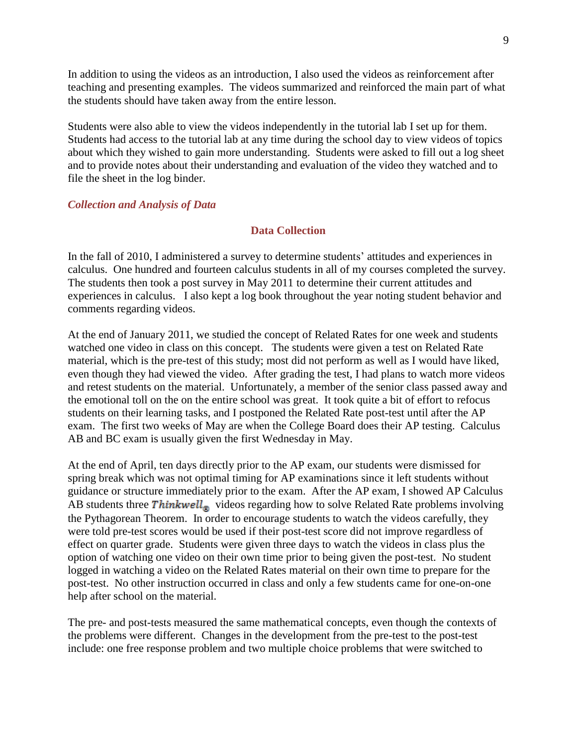In addition to using the videos as an introduction, I also used the videos as reinforcement after teaching and presenting examples. The videos summarized and reinforced the main part of what the students should have taken away from the entire lesson.

Students were also able to view the videos independently in the tutorial lab I set up for them. Students had access to the tutorial lab at any time during the school day to view videos of topics about which they wished to gain more understanding. Students were asked to fill out a log sheet and to provide notes about their understanding and evaluation of the video they watched and to file the sheet in the log binder.

#### *Collection and Analysis of Data*

#### **Data Collection**

In the fall of 2010, I administered a survey to determine students' attitudes and experiences in calculus. One hundred and fourteen calculus students in all of my courses completed the survey. The students then took a post survey in May 2011 to determine their current attitudes and experiences in calculus. I also kept a log book throughout the year noting student behavior and comments regarding videos.

At the end of January 2011, we studied the concept of Related Rates for one week and students watched one video in class on this concept. The students were given a test on Related Rate material, which is the pre-test of this study; most did not perform as well as I would have liked, even though they had viewed the video. After grading the test, I had plans to watch more videos and retest students on the material. Unfortunately, a member of the senior class passed away and the emotional toll on the on the entire school was great. It took quite a bit of effort to refocus students on their learning tasks, and I postponed the Related Rate post-test until after the AP exam. The first two weeks of May are when the College Board does their AP testing. Calculus AB and BC exam is usually given the first Wednesday in May.

At the end of April, ten days directly prior to the AP exam, our students were dismissed for spring break which was not optimal timing for AP examinations since it left students without guidance or structure immediately prior to the exam. After the AP exam, I showed AP Calculus AB students three  $Thinking$  videos regarding how to solve Related Rate problems involving the Pythagorean Theorem. In order to encourage students to watch the videos carefully, they were told pre-test scores would be used if their post-test score did not improve regardless of effect on quarter grade. Students were given three days to watch the videos in class plus the option of watching one video on their own time prior to being given the post-test. No student logged in watching a video on the Related Rates material on their own time to prepare for the post-test. No other instruction occurred in class and only a few students came for one-on-one help after school on the material.

The pre- and post-tests measured the same mathematical concepts, even though the contexts of the problems were different. Changes in the development from the pre-test to the post-test include: one free response problem and two multiple choice problems that were switched to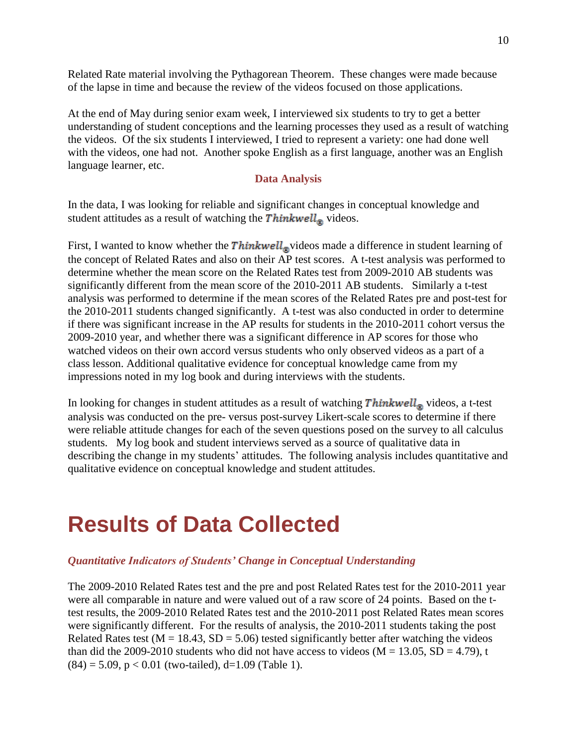Related Rate material involving the Pythagorean Theorem. These changes were made because of the lapse in time and because the review of the videos focused on those applications.

At the end of May during senior exam week, I interviewed six students to try to get a better understanding of student conceptions and the learning processes they used as a result of watching the videos. Of the six students I interviewed, I tried to represent a variety: one had done well with the videos, one had not. Another spoke English as a first language, another was an English language learner, etc.

### **Data Analysis**

In the data, I was looking for reliable and significant changes in conceptual knowledge and student attitudes as a result of watching the  $Thinking$  inh  $kwell$ <sub> $\odot$ </sub> videos.

First, I wanted to know whether the  $Thinking \times$  ideos made a difference in student learning of the concept of Related Rates and also on their AP test scores. A t-test analysis was performed to determine whether the mean score on the Related Rates test from 2009-2010 AB students was significantly different from the mean score of the 2010-2011 AB students. Similarly a t-test analysis was performed to determine if the mean scores of the Related Rates pre and post-test for the 2010-2011 students changed significantly. A t-test was also conducted in order to determine if there was significant increase in the AP results for students in the 2010-2011 cohort versus the 2009-2010 year, and whether there was a significant difference in AP scores for those who watched videos on their own accord versus students who only observed videos as a part of a class lesson. Additional qualitative evidence for conceptual knowledge came from my impressions noted in my log book and during interviews with the students.

In looking for changes in student attitudes as a result of watching  $\textit{Thinkwell}_{\odot}$  videos, a t-test analysis was conducted on the pre- versus post-survey Likert-scale scores to determine if there were reliable attitude changes for each of the seven questions posed on the survey to all calculus students. My log book and student interviews served as a source of qualitative data in describing the change in my students' attitudes. The following analysis includes quantitative and qualitative evidence on conceptual knowledge and student attitudes.

## <span id="page-9-0"></span>**Results of Data Collected**

### *Quantitative Indicators of Students' Change in Conceptual Understanding*

The 2009-2010 Related Rates test and the pre and post Related Rates test for the 2010-2011 year were all comparable in nature and were valued out of a raw score of 24 points. Based on the ttest results, the 2009-2010 Related Rates test and the 2010-2011 post Related Rates mean scores were significantly different. For the results of analysis, the 2010-2011 students taking the post Related Rates test ( $M = 18.43$ ,  $SD = 5.06$ ) tested significantly better after watching the videos than did the 2009-2010 students who did not have access to videos ( $M = 13.05$ ,  $SD = 4.79$ ), t  $(84) = 5.09$ ,  $p < 0.01$  (two-tailed), d=1.09 (Table 1).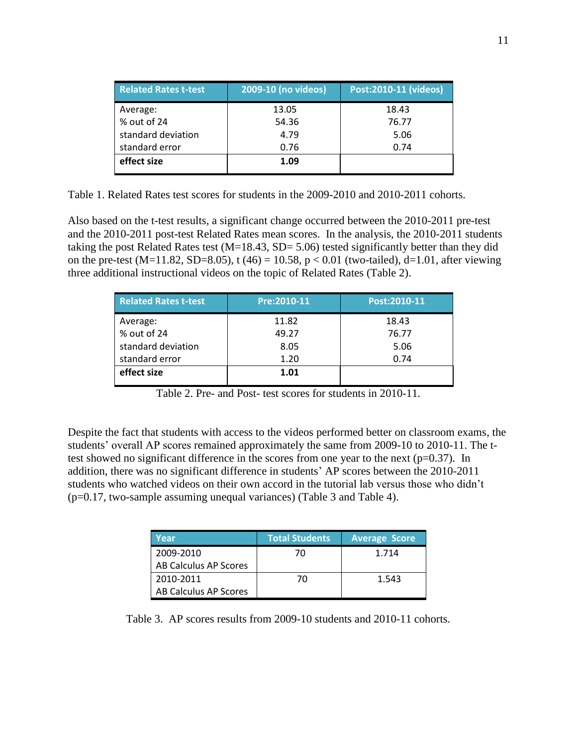| <b>Related Rates t-test</b> | 2009-10 (no videos) | Post:2010-11 (videos) |
|-----------------------------|---------------------|-----------------------|
| Average:                    | 13.05               | 18.43                 |
| % out of 24                 | 54.36               | 76.77                 |
| standard deviation          | 4.79                | 5.06                  |
| standard error              | 0.76                | 0.74                  |
| effect size                 | 1.09                |                       |

Table 1. Related Rates test scores for students in the 2009-2010 and 2010-2011 cohorts.

Also based on the t-test results, a significant change occurred between the 2010-2011 pre-test and the 2010-2011 post-test Related Rates mean scores. In the analysis, the 2010-2011 students taking the post Related Rates test ( $M=18.43$ ,  $SD= 5.06$ ) tested significantly better than they did on the pre-test (M=11.82, SD=8.05), t (46) = 10.58,  $p < 0.01$  (two-tailed), d=1.01, after viewing three additional instructional videos on the topic of Related Rates (Table 2).

| <b>Related Rates t-test</b> | Pre: 2010-11 | Post:2010-11 |
|-----------------------------|--------------|--------------|
| Average:                    | 11.82        | 18.43        |
| % out of 24                 | 49.27        | 76.77        |
| standard deviation          | 8.05         | 5.06         |
| standard error              | 1.20         | 0.74         |
| effect size                 | 1.01         |              |

Table 2. Pre- and Post- test scores for students in 2010-11.

Despite the fact that students with access to the videos performed better on classroom exams, the students' overall AP scores remained approximately the same from 2009-10 to 2010-11. The ttest showed no significant difference in the scores from one year to the next ( $p=0.37$ ). In addition, there was no significant difference in students" AP scores between the 2010-2011 students who watched videos on their own accord in the tutorial lab versus those who didn"t (p=0.17, two-sample assuming unequal variances) (Table 3 and Table 4).

| Year                  | <b>Total Students</b> | <b>Average Score</b> |
|-----------------------|-----------------------|----------------------|
| 2009-2010             | 70                    | 1.714                |
| AB Calculus AP Scores |                       |                      |
| 2010-2011             | 70                    | 1.543                |
| AB Calculus AP Scores |                       |                      |

Table 3. AP scores results from 2009-10 students and 2010-11 cohorts.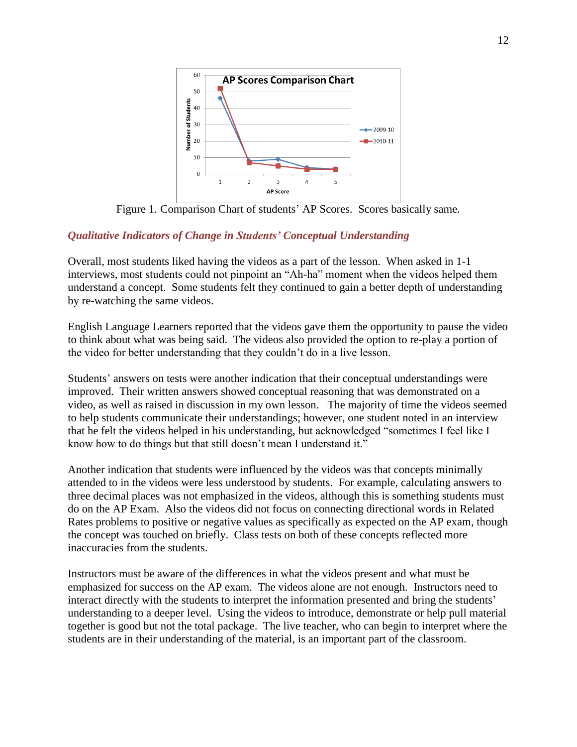

Figure 1. Comparison Chart of students" AP Scores. Scores basically same.

### *Qualitative Indicators of Change in Students' Conceptual Understanding*

Overall, most students liked having the videos as a part of the lesson. When asked in 1-1 interviews, most students could not pinpoint an "Ah-ha" moment when the videos helped them understand a concept. Some students felt they continued to gain a better depth of understanding by re-watching the same videos.

English Language Learners reported that the videos gave them the opportunity to pause the video to think about what was being said. The videos also provided the option to re-play a portion of the video for better understanding that they couldn"t do in a live lesson.

Students" answers on tests were another indication that their conceptual understandings were improved. Their written answers showed conceptual reasoning that was demonstrated on a video, as well as raised in discussion in my own lesson. The majority of time the videos seemed to help students communicate their understandings; however, one student noted in an interview that he felt the videos helped in his understanding, but acknowledged "sometimes I feel like I know how to do things but that still doesn"t mean I understand it."

Another indication that students were influenced by the videos was that concepts minimally attended to in the videos were less understood by students. For example, calculating answers to three decimal places was not emphasized in the videos, although this is something students must do on the AP Exam. Also the videos did not focus on connecting directional words in Related Rates problems to positive or negative values as specifically as expected on the AP exam, though the concept was touched on briefly. Class tests on both of these concepts reflected more inaccuracies from the students.

Instructors must be aware of the differences in what the videos present and what must be emphasized for success on the AP exam. The videos alone are not enough. Instructors need to interact directly with the students to interpret the information presented and bring the students' understanding to a deeper level. Using the videos to introduce, demonstrate or help pull material together is good but not the total package. The live teacher, who can begin to interpret where the students are in their understanding of the material, is an important part of the classroom.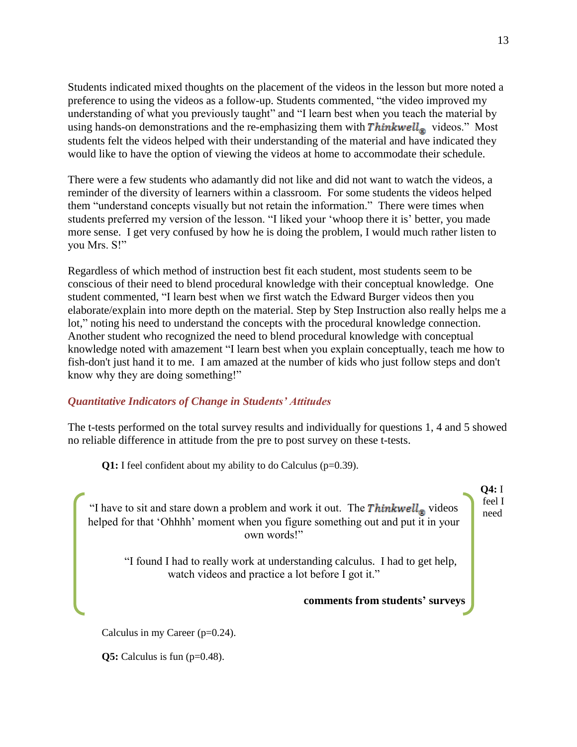Students indicated mixed thoughts on the placement of the videos in the lesson but more noted a preference to using the videos as a follow-up. Students commented, "the video improved my understanding of what you previously taught" and "I learn best when you teach the material by using hands-on demonstrations and the re-emphasizing them with  $Thinking$  inh  $\textit{Thinkwell}_{\text{m}}$  videos." Most students felt the videos helped with their understanding of the material and have indicated they would like to have the option of viewing the videos at home to accommodate their schedule.

There were a few students who adamantly did not like and did not want to watch the videos, a reminder of the diversity of learners within a classroom. For some students the videos helped them "understand concepts visually but not retain the information." There were times when students preferred my version of the lesson. "I liked your "whoop there it is" better, you made more sense. I get very confused by how he is doing the problem, I would much rather listen to you Mrs. S!"

Regardless of which method of instruction best fit each student, most students seem to be conscious of their need to blend procedural knowledge with their conceptual knowledge. One student commented, "I learn best when we first watch the Edward Burger videos then you elaborate/explain into more depth on the material. Step by Step Instruction also really helps me a lot," noting his need to understand the concepts with the procedural knowledge connection. Another student who recognized the need to blend procedural knowledge with conceptual knowledge noted with amazement "I learn best when you explain conceptually, teach me how to fish-don't just hand it to me. I am amazed at the number of kids who just follow steps and don't know why they are doing something!"

### *Quantitative Indicators of Change in Students' Attitudes*

The t-tests performed on the total survey results and individually for questions 1, 4 and 5 showed no reliable difference in attitude from the pre to post survey on these t-tests.

**Q1:** I feel confident about my ability to do Calculus (p=0.39).

"I have to sit and stare down a problem and work it out. The  $\textit{Thinkwell}_{\circledast}$  videos helped for that 'Ohhhh' moment when you figure something out and put it in your own words!"

"I found I had to really work at understanding calculus. I had to get help, watch videos and practice a lot before I got it."

**comments from students' surveys**

Calculus in my Career (p=0.24).

**Q5:** Calculus is fun (p=0.48).

**Q4:** I feel I need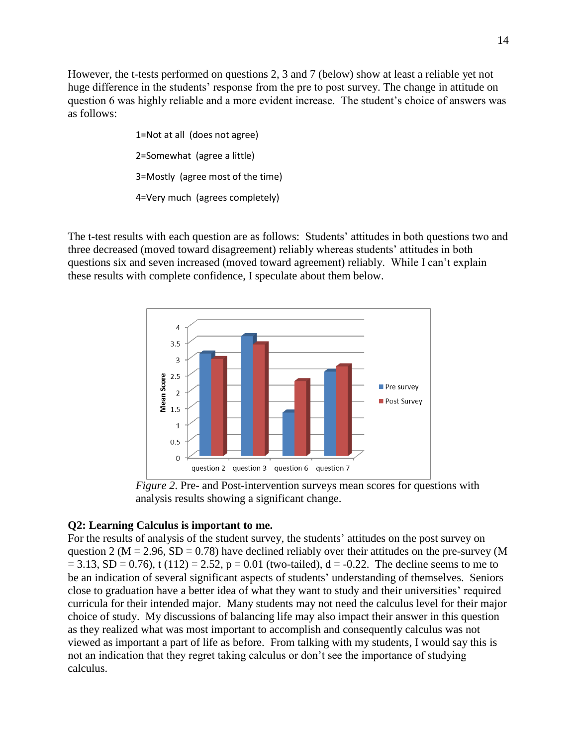However, the t-tests performed on questions 2, 3 and 7 (below) show at least a reliable yet not huge difference in the students' response from the pre to post survey. The change in attitude on question 6 was highly reliable and a more evident increase. The student"s choice of answers was as follows:

> 1=Not at all (does not agree) 2=Somewhat (agree a little) 3=Mostly (agree most of the time) 4=Very much (agrees completely)

The t-test results with each question are as follows: Students" attitudes in both questions two and three decreased (moved toward disagreement) reliably whereas students" attitudes in both questions six and seven increased (moved toward agreement) reliably. While I can"t explain these results with complete confidence, I speculate about them below.



*Figure 2*. Pre- and Post-intervention surveys mean scores for questions with analysis results showing a significant change.

### **Q2: Learning Calculus is important to me.**

For the results of analysis of the student survey, the students' attitudes on the post survey on question 2 ( $M = 2.96$ ,  $SD = 0.78$ ) have declined reliably over their attitudes on the pre-survey (M  $= 3.13$ , SD = 0.76), t (112) = 2.52, p = 0.01 (two-tailed), d = -0.22. The decline seems to me to be an indication of several significant aspects of students' understanding of themselves. Seniors close to graduation have a better idea of what they want to study and their universities' required curricula for their intended major. Many students may not need the calculus level for their major choice of study. My discussions of balancing life may also impact their answer in this question as they realized what was most important to accomplish and consequently calculus was not viewed as important a part of life as before. From talking with my students, I would say this is not an indication that they regret taking calculus or don"t see the importance of studying calculus.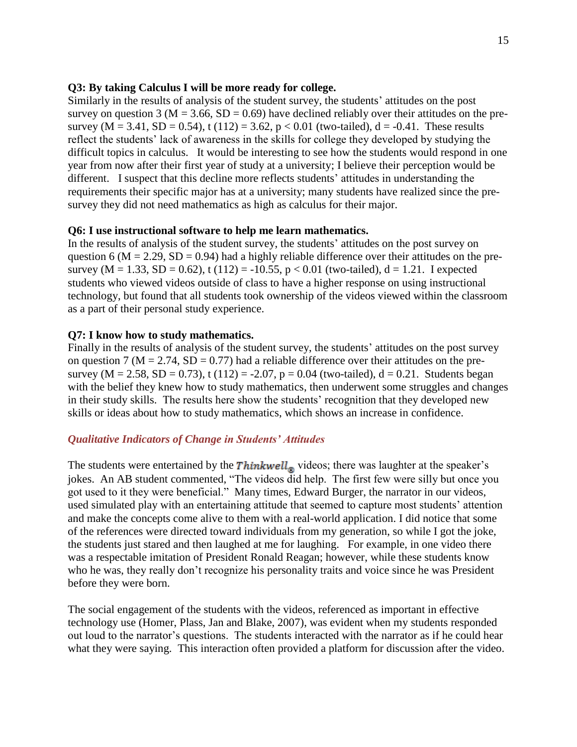### **Q3: By taking Calculus I will be more ready for college.**

Similarly in the results of analysis of the student survey, the students" attitudes on the post survey on question 3 ( $M = 3.66$ ,  $SD = 0.69$ ) have declined reliably over their attitudes on the presurvey (M = 3.41, SD = 0.54), t (112) = 3.62, p < 0.01 (two-tailed),  $d = -0.41$ . These results reflect the students' lack of awareness in the skills for college they developed by studying the difficult topics in calculus. It would be interesting to see how the students would respond in one year from now after their first year of study at a university; I believe their perception would be different. I suspect that this decline more reflects students" attitudes in understanding the requirements their specific major has at a university; many students have realized since the presurvey they did not need mathematics as high as calculus for their major.

### **Q6: I use instructional software to help me learn mathematics.**

In the results of analysis of the student survey, the students' attitudes on the post survey on question 6 ( $M = 2.29$ ,  $SD = 0.94$ ) had a highly reliable difference over their attitudes on the presurvey (M = 1.33, SD = 0.62), t (112) = -10.55, p < 0.01 (two-tailed), d = 1.21. I expected students who viewed videos outside of class to have a higher response on using instructional technology, but found that all students took ownership of the videos viewed within the classroom as a part of their personal study experience.

### **Q7: I know how to study mathematics.**

Finally in the results of analysis of the student survey, the students' attitudes on the post survey on question 7 ( $M = 2.74$ ,  $SD = 0.77$ ) had a reliable difference over their attitudes on the presurvey ( $M = 2.58$ ,  $SD = 0.73$ ), t (112) = -2.07, p = 0.04 (two-tailed), d = 0.21. Students began with the belief they knew how to study mathematics, then underwent some struggles and changes in their study skills. The results here show the students' recognition that they developed new skills or ideas about how to study mathematics, which shows an increase in confidence.

### *Qualitative Indicators of Change in Students' Attitudes*

The students were entertained by the  $Thinking \times$  videos; there was laughter at the speaker's jokes. An AB student commented, "The videos did help. The first few were silly but once you got used to it they were beneficial." Many times, Edward Burger, the narrator in our videos, used simulated play with an entertaining attitude that seemed to capture most students" attention and make the concepts come alive to them with a real-world application. I did notice that some of the references were directed toward individuals from my generation, so while I got the joke, the students just stared and then laughed at me for laughing. For example, in one video there was a respectable imitation of President Ronald Reagan; however, while these students know who he was, they really don"t recognize his personality traits and voice since he was President before they were born.

The social engagement of the students with the videos, referenced as important in effective technology use (Homer, Plass, Jan and Blake, 2007), was evident when my students responded out loud to the narrator's questions. The students interacted with the narrator as if he could hear what they were saying. This interaction often provided a platform for discussion after the video.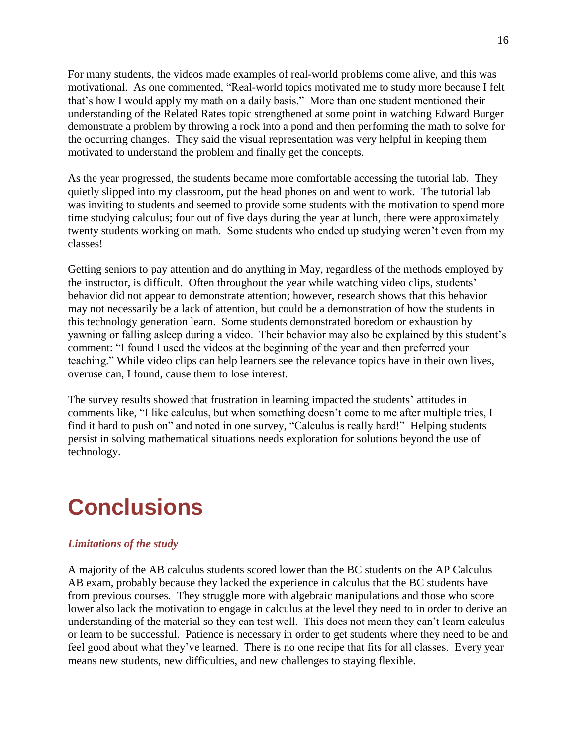For many students, the videos made examples of real-world problems come alive, and this was motivational. As one commented, "Real-world topics motivated me to study more because I felt that"s how I would apply my math on a daily basis." More than one student mentioned their understanding of the Related Rates topic strengthened at some point in watching Edward Burger demonstrate a problem by throwing a rock into a pond and then performing the math to solve for the occurring changes. They said the visual representation was very helpful in keeping them motivated to understand the problem and finally get the concepts.

As the year progressed, the students became more comfortable accessing the tutorial lab. They quietly slipped into my classroom, put the head phones on and went to work. The tutorial lab was inviting to students and seemed to provide some students with the motivation to spend more time studying calculus; four out of five days during the year at lunch, there were approximately twenty students working on math. Some students who ended up studying weren"t even from my classes!

Getting seniors to pay attention and do anything in May, regardless of the methods employed by the instructor, is difficult. Often throughout the year while watching video clips, students" behavior did not appear to demonstrate attention; however, research shows that this behavior may not necessarily be a lack of attention, but could be a demonstration of how the students in this technology generation learn. Some students demonstrated boredom or exhaustion by yawning or falling asleep during a video. Their behavior may also be explained by this student"s comment: "I found I used the videos at the beginning of the year and then preferred your teaching." While video clips can help learners see the relevance topics have in their own lives, overuse can, I found, cause them to lose interest.

The survey results showed that frustration in learning impacted the students' attitudes in comments like, "I like calculus, but when something doesn"t come to me after multiple tries, I find it hard to push on" and noted in one survey, "Calculus is really hard!" Helping students persist in solving mathematical situations needs exploration for solutions beyond the use of technology.

## <span id="page-15-0"></span>**Conclusions**

### *Limitations of the study*

A majority of the AB calculus students scored lower than the BC students on the AP Calculus AB exam, probably because they lacked the experience in calculus that the BC students have from previous courses. They struggle more with algebraic manipulations and those who score lower also lack the motivation to engage in calculus at the level they need to in order to derive an understanding of the material so they can test well. This does not mean they can't learn calculus or learn to be successful. Patience is necessary in order to get students where they need to be and feel good about what they've learned. There is no one recipe that fits for all classes. Every year means new students, new difficulties, and new challenges to staying flexible.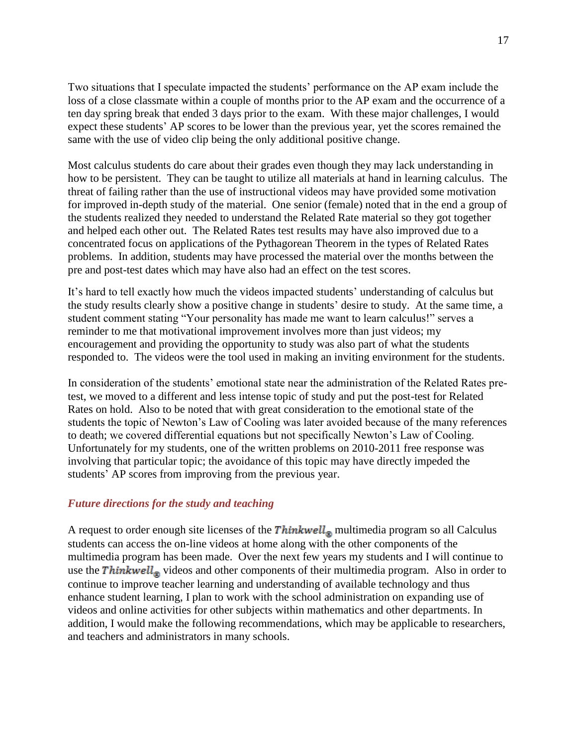Two situations that I speculate impacted the students' performance on the AP exam include the loss of a close classmate within a couple of months prior to the AP exam and the occurrence of a ten day spring break that ended 3 days prior to the exam. With these major challenges, I would expect these students" AP scores to be lower than the previous year, yet the scores remained the same with the use of video clip being the only additional positive change.

Most calculus students do care about their grades even though they may lack understanding in how to be persistent. They can be taught to utilize all materials at hand in learning calculus. The threat of failing rather than the use of instructional videos may have provided some motivation for improved in-depth study of the material. One senior (female) noted that in the end a group of the students realized they needed to understand the Related Rate material so they got together and helped each other out. The Related Rates test results may have also improved due to a concentrated focus on applications of the Pythagorean Theorem in the types of Related Rates problems. In addition, students may have processed the material over the months between the pre and post-test dates which may have also had an effect on the test scores.

It"s hard to tell exactly how much the videos impacted students" understanding of calculus but the study results clearly show a positive change in students" desire to study. At the same time, a student comment stating "Your personality has made me want to learn calculus!" serves a reminder to me that motivational improvement involves more than just videos; my encouragement and providing the opportunity to study was also part of what the students responded to. The videos were the tool used in making an inviting environment for the students.

In consideration of the students" emotional state near the administration of the Related Rates pretest, we moved to a different and less intense topic of study and put the post-test for Related Rates on hold. Also to be noted that with great consideration to the emotional state of the students the topic of Newton"s Law of Cooling was later avoided because of the many references to death; we covered differential equations but not specifically Newton"s Law of Cooling. Unfortunately for my students, one of the written problems on 2010-2011 free response was involving that particular topic; the avoidance of this topic may have directly impeded the students" AP scores from improving from the previous year.

#### *Future directions for the study and teaching*

A request to order enough site licenses of the  $\mathit{Thinkwell}_{\mathcal{R}}$  multimedia program so all Calculus students can access the on-line videos at home along with the other components of the multimedia program has been made. Over the next few years my students and I will continue to use the Thinkwell<sub> $\circledast$ </sub> videos and other components of their multimedia program. Also in order to continue to improve teacher learning and understanding of available technology and thus enhance student learning, I plan to work with the school administration on expanding use of videos and online activities for other subjects within mathematics and other departments. In addition, I would make the following recommendations, which may be applicable to researchers, and teachers and administrators in many schools.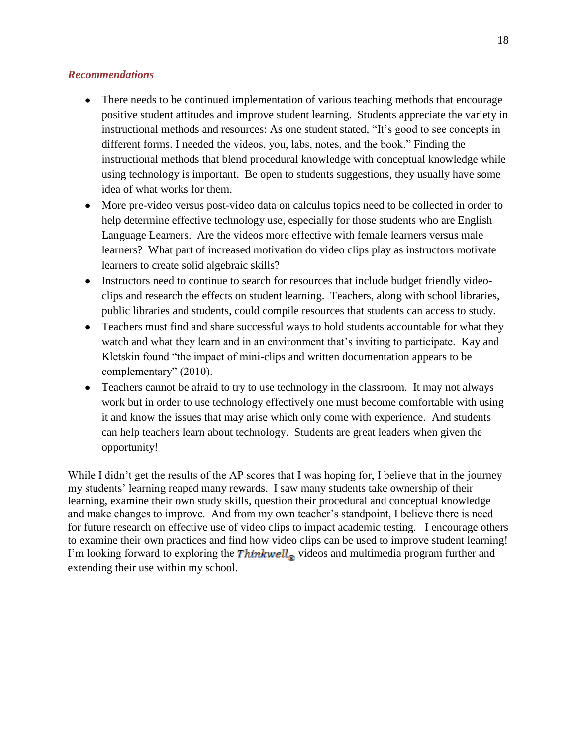### *Recommendations*

- $\bullet$ There needs to be continued implementation of various teaching methods that encourage positive student attitudes and improve student learning. Students appreciate the variety in instructional methods and resources: As one student stated, "It"s good to see concepts in different forms. I needed the videos, you, labs, notes, and the book." Finding the instructional methods that blend procedural knowledge with conceptual knowledge while using technology is important. Be open to students suggestions, they usually have some idea of what works for them.
- More pre-video versus post-video data on calculus topics need to be collected in order to help determine effective technology use, especially for those students who are English Language Learners. Are the videos more effective with female learners versus male learners? What part of increased motivation do video clips play as instructors motivate learners to create solid algebraic skills?
- Instructors need to continue to search for resources that include budget friendly videoclips and research the effects on student learning. Teachers, along with school libraries, public libraries and students, could compile resources that students can access to study.
- Teachers must find and share successful ways to hold students accountable for what they watch and what they learn and in an environment that's inviting to participate. Kay and Kletskin found "the impact of mini-clips and written documentation appears to be complementary" (2010).
- Teachers cannot be afraid to try to use technology in the classroom. It may not always work but in order to use technology effectively one must become comfortable with using it and know the issues that may arise which only come with experience. And students can help teachers learn about technology. Students are great leaders when given the opportunity!

While I didn't get the results of the AP scores that I was hoping for, I believe that in the journey my students" learning reaped many rewards. I saw many students take ownership of their learning, examine their own study skills, question their procedural and conceptual knowledge and make changes to improve. And from my own teacher"s standpoint, I believe there is need for future research on effective use of video clips to impact academic testing. I encourage others to examine their own practices and find how video clips can be used to improve student learning! I'm looking forward to exploring the Thinkwell<sub>®</sub> videos and multimedia program further and extending their use within my school.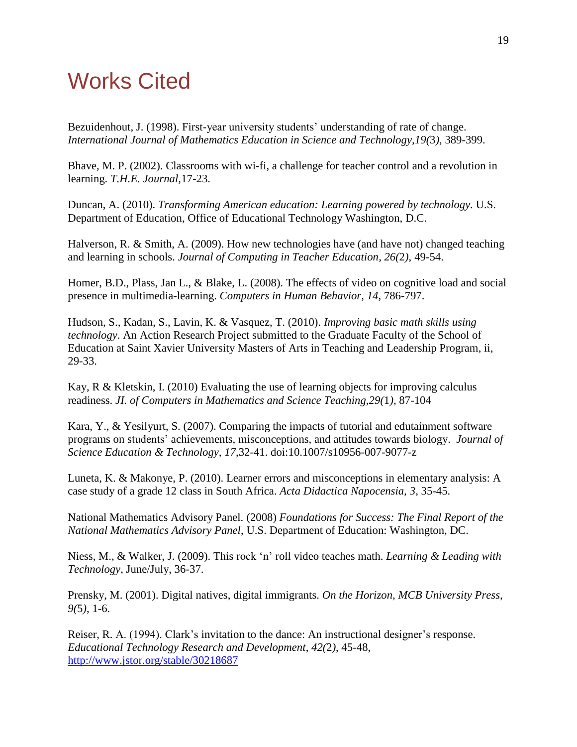## <span id="page-18-0"></span>Works Cited

Bezuidenhout, J. (1998). First-year university students' understanding of rate of change. *International Journal of Mathematics Education in Science and Technology,19(*3*),* 389-399.

Bhave, M. P. (2002). Classrooms with wi-fi, a challenge for teacher control and a revolution in learning. *T.H.E. Journal,*17-23.

Duncan, A. (2010). *Transforming American education: Learning powered by technology.* U.S. Department of Education, Office of Educational Technology Washington, D.C.

Halverson, R. & Smith, A. (2009). How new technologies have (and have not) changed teaching and learning in schools. *Journal of Computing in Teacher Education, 26(*2*)*, 49-54.

Homer, B.D., Plass, Jan L., & Blake, L. (2008). The effects of video on cognitive load and social presence in multimedia-learning. *Computers in Human Behavior*, *14*, 786-797.

Hudson, S., Kadan, S., Lavin, K. & Vasquez, T. (2010). *Improving basic math skills using technology*. An Action Research Project submitted to the Graduate Faculty of the School of Education at Saint Xavier University Masters of Arts in Teaching and Leadership Program, ii, 29-33.

Kay, R & Kletskin, I. (2010) Evaluating the use of learning objects for improving calculus readiness. *JI. of Computers in Mathematics and Science Teaching,29(*1*)*, 87-104

Kara, Y., & Yesilyurt, S. (2007). Comparing the impacts of tutorial and edutainment software programs on students" achievements, misconceptions, and attitudes towards biology. *Journal of Science Education & Technology, 17*,32-41. doi:10.1007/s10956-007-9077-z

Luneta, K. & Makonye, P. (2010). Learner errors and misconceptions in elementary analysis: A case study of a grade 12 class in South Africa. *Acta Didactica Napocensia, 3*, 35-45.

National Mathematics Advisory Panel. (2008) *Foundations for Success: The Final Report of the National Mathematics Advisory Panel*, U.S. Department of Education: Washington, DC.

Niess, M., & Walker, J. (2009). This rock "n" roll video teaches math. *Learning & Leading with Technology*, June/July, 36-37.

Prensky, M. (2001). Digital natives, digital immigrants. *On the Horizon, MCB University Press, 9(*5*)*, 1-6.

Reiser, R. A. (1994). Clark's invitation to the dance: An instructional designer's response. *Educational Technology Research and Development*, *42(*2*)*, 45-48, <http://www.jstor.org/stable/30218687>